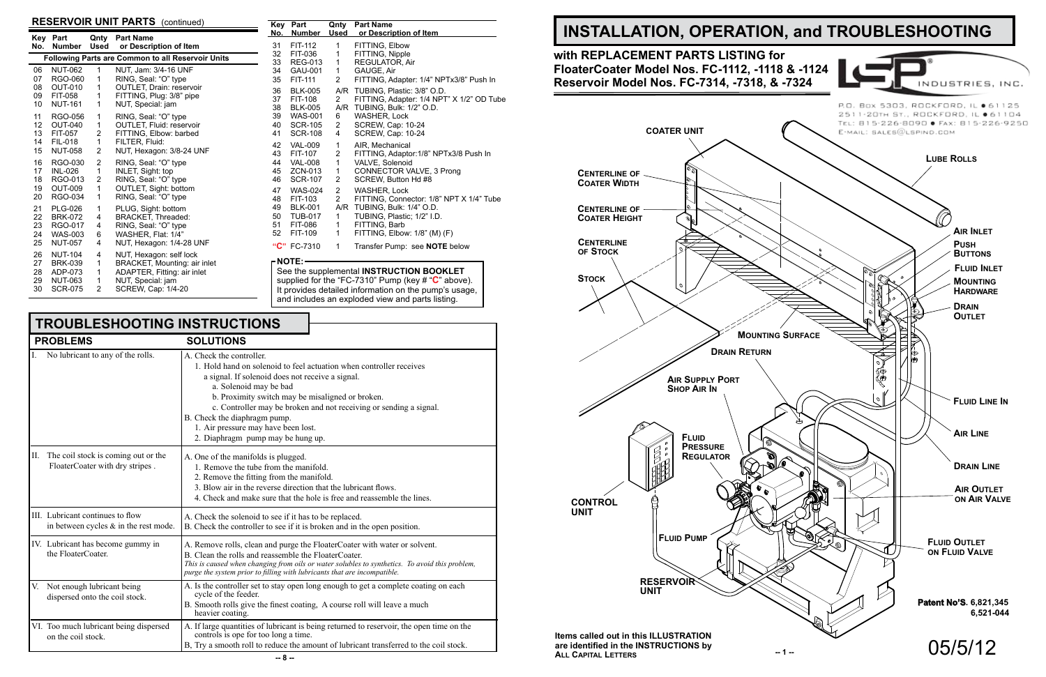

### **RESERVOIR UNIT PARTS** (continued)

| No. | Key Part<br><b>Number</b> | Used           | <b>Qnty</b> Part Name<br>or Description of Item   |
|-----|---------------------------|----------------|---------------------------------------------------|
|     |                           |                | Following Parts are Common to all Reservoir Units |
| 06  | <b>NUT-062</b>            | 1              | NUT, Jam: 3/4-16 UNF                              |
| 07  | RGO-060                   | 1              | RING, Seal: "O" type                              |
| 08  | <b>OUT-010</b>            | 1              | OUTLET, Drain: reservoir                          |
| 09  | FIT-058                   | 1              | FITTING, Plug: 3/8" pipe                          |
| 10  | <b>NUT-161</b>            | 1              | NUT, Special: jam                                 |
| 11  | RGO-056                   | 1              | RING, Seal: "O" type                              |
| 12  | <b>OUT-040</b>            | 1              | <b>OUTLET, Fluid: reservoir</b>                   |
| 13  | FIT-057                   | 2              | FITTING, Elbow: barbed                            |
| 14  | <b>FIL-018</b>            | 1              | FILTER, Fluid:                                    |
| 15  | <b>NUT-058</b>            | 2              | NUT, Hexagon: 3/8-24 UNF                          |
| 16  | RGO-030                   | 2              | RING, Seal: "O" type                              |
| 17  | <b>INL-026</b>            | 1              | INLET, Sight: top                                 |
| 18  | RGO-013                   | 2              | RING, Seal: "O" type                              |
| 19  | OUT-009                   | 1              | OUTLET, Sight: bottom                             |
| 20  | RGO-034                   | 1              | RING, Seal: "O" type                              |
| 21  | <b>PLG-026</b>            | 1              | PLUG, Sight: bottom                               |
| 22  | <b>BRK-072</b>            | 4              | <b>BRACKET, Threaded:</b>                         |
| 23  | RGO-017                   | 4              | RING, Seal: "O" type                              |
| 24  | WAS-003                   | 6              | WASHER, Flat: 1/4"                                |
| 25  | <b>NUT-057</b>            | 4              | NUT, Hexagon: 1/4-28 UNF                          |
| 26  | <b>NUT-104</b>            | 4              | NUT, Hexagon: self lock                           |
| 27  | <b>BRK-039</b>            | 1              | BRACKET, Mounting: air inlet                      |
| 28  | ADP-073                   | 1              | ADAPTER, Fitting: air inlet                       |
| 29  | NUT-063                   | 1              | NUT, Special: jam                                 |
| 30  | <b>SCR-075</b>            | $\overline{2}$ | SCREW, Cap: 1/4-20                                |

| Key | Part           | Qnty           | <b>Part Name</b>                          |
|-----|----------------|----------------|-------------------------------------------|
| No. | <b>Number</b>  | <b>Used</b>    | or Description of Item                    |
| 31  | FIT-112        | 1              | FITTING, Elbow                            |
| 32  | FIT-036        | 1              | FITTING, Nipple                           |
| 33  | <b>REG-013</b> | 1              | <b>REGULATOR, Air</b>                     |
| 34  | GAU-001        | 1.             | GAUGE, Air                                |
| 35  | FIT-111        | $\overline{2}$ | FITTING, Adapter: 1/4" NPTx3/8" Push In   |
| 36  | <b>BLK-005</b> | A/R            | TUBING, Plastic: 3/8" O.D.                |
| 37  | FIT-108        | $\mathbf{2}$   | FITTING, Adapter: 1/4 NPT" X 1/2" OD Tube |
| 38  | <b>BLK-005</b> | A/R            | TUBING, Bulk: 1/2" O.D.                   |
| 39  | <b>WAS-001</b> | 6              | WASHER, Lock                              |
| 40  | <b>SCR-105</b> | $\overline{2}$ | SCREW, Cap: 10-24                         |
| 41  | <b>SCR-108</b> | 4              | <b>SCREW, Cap: 10-24</b>                  |
| 42  | <b>VAL-009</b> | 1              | AIR, Mechanical                           |
| 43  | FIT-107        | 2              | FITTING, Adaptor: 1/8" NPTx3/8 Push In    |
| 44  | <b>VAL-008</b> | $\mathbf{1}$   | VALVE, Solenoid                           |
| 45  | ZCN-013        | $\mathbf{1}$   | CONNECTOR VALVE, 3 Prong                  |
| 46  | <b>SCR-107</b> | 2              | SCREW, Button Hd #8                       |
| 47  | <b>WAS-024</b> | $\overline{2}$ | <b>WASHER, Lock</b>                       |
| 48  | FIT-103        | $\overline{2}$ | FITTING, Connector: 1/8" NPT X 1/4" Tube  |
| 49  | <b>BLK-001</b> | A/R            | TUBING, Bulk: 1/4" O.D.                   |
| 50  | <b>TUB-017</b> | 1              | TUBING, Plastic; 1/2" I.D.                |
| 51  | <b>FIT-086</b> | 1              | FITTING, Barb                             |
| 52  | FIT-109        | 1              | FITTING, Elbow: 1/8" (M) (F)              |
|     | "C" FC-7310    | 1              | Transfer Pump: see <b>NOTE</b> below      |

#### **NOTE:**

See the supplemental **INSTRUCTION BOOKLET** supplied for the "FC-7310" Pump (key # "**C**" above). It provides detailed information on the pump's usage, and includes an exploded view and parts listing.

| <b>TROUBLESHOOTING INSTRUCTIONS</b>                                          |                                                                                                                                                                                                                                                                                                                                                                                                                     |  |  |
|------------------------------------------------------------------------------|---------------------------------------------------------------------------------------------------------------------------------------------------------------------------------------------------------------------------------------------------------------------------------------------------------------------------------------------------------------------------------------------------------------------|--|--|
| <b>PROBLEMS</b>                                                              | <b>SOLUTIONS</b>                                                                                                                                                                                                                                                                                                                                                                                                    |  |  |
| No lubricant to any of the rolls.                                            | A. Check the controller.<br>1. Hold hand on solenoid to feel actuation when controller receives<br>a signal. If solenoid does not receive a signal.<br>a. Solenoid may be bad<br>b. Proximity switch may be misaligned or broken.<br>c. Controller may be broken and not receiving or sending a signal.<br>B. Check the diaphragm pump.<br>1. Air pressure may have been lost.<br>2. Diaphragm pump may be hung up. |  |  |
| The coil stock is coming out or the<br>П.<br>FloaterCoater with dry stripes. | A. One of the manifolds is plugged.<br>1. Remove the tube from the manifold.<br>2. Remove the fitting from the manifold.<br>3. Blow air in the reverse direction that the lubricant flows.<br>4. Check and make sure that the hole is free and reassemble the lines.                                                                                                                                                |  |  |
| III. Lubricant continues to flow<br>in between cycles $\&$ in the rest mode. | A. Check the solenoid to see if it has to be replaced.<br>B. Check the controller to see if it is broken and in the open position.                                                                                                                                                                                                                                                                                  |  |  |
| IV. Lubricant has become gummy in<br>the FloaterCoater.                      | A. Remove rolls, clean and purge the FloaterCoater with water or solvent.<br>B. Clean the rolls and reassemble the FloaterCoater.<br>This is caused when changing from oils or water solubles to synthetics. To avoid this problem,<br>purge the system prior to filling with lubricants that are incompatible.                                                                                                     |  |  |
| V. Not enough lubricant being<br>dispersed onto the coil stock.              | A. Is the controller set to stay open long enough to get a complete coating on each<br>cycle of the feeder.<br>B. Smooth rolls give the finest coating, A course roll will leave a much<br>heavier coating.                                                                                                                                                                                                         |  |  |
| VI. Too much lubricant being dispersed<br>on the coil stock.                 | A. If large quantities of lubricant is being returned to reservoir, the open time on the<br>controls is ope for too long a time.                                                                                                                                                                                                                                                                                    |  |  |

B, Try a smooth roll to reduce the amount of lubricant transferred to the coil stock.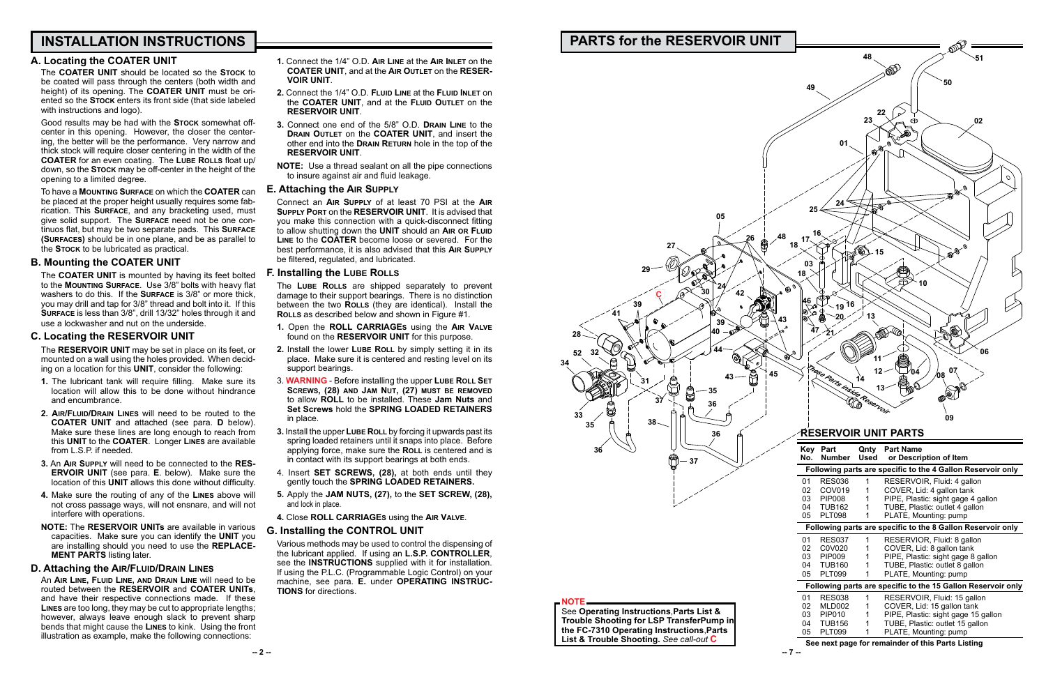# **INSTALLATION INSTRUCTIONS**

The **COATER UNIT** should be located so the **Stock** to be coated will pass through the centers (both width and height) of its opening. The **COATER UNIT** must be oriented so the **Stock** enters its front side (that side labeled with instructions and logo).

### **A. Locating the COATER UNIT**

Good results may be had with the **Stock** somewhat offcenter in this opening. However, the closer the centering, the better will be the performance. Very narrow and thick stock will require closer centering in the width of the **COATER** for an even coating. The **Lube Rolls** float up/ down, so the **Stock** may be off-center in the height of the opening to a limited degree.

To have a **Mounting Surface** on which the **COATER** can be placed at the proper height usually requires some fabrication. This **Surface**, and any bracketing used, must give solid support. The **Surface** need not be one continuos flat, but may be two separate pads. This **Surface (Surfaces)** should be in one plane, and be as parallel to the **Stock** to be lubricated as practical.

### **B. Mounting the COATER UNIT**

The **COATER UNIT** is mounted by having its feet bolted to the **Mounting Surface**. Use 3/8" bolts with heavy flat washers to do this. If the **Surface** is 3/8" or more thick, you may drill and tap for 3/8" thread and bolt into it. If this **Surface** is less than 3/8", drill 13/32" holes through it and use a lockwasher and nut on the underside.

### **C. Locating the RESERVOIR UNIT**

The **RESERVOIR UNIT** may be set in place on its feet, or mounted on a wall using the holes provided. When deciding on a location for this **UNIT**, consider the following:

- **1.** The lubricant tank will require filling. Make sure its location will allow this to be done without hindrance and encumbrance.
- **2. Air/Fluid/Drain Lines** will need to be routed to the **COATER UNIT** and attached (see para. **D** below). Make sure these lines are long enough to reach from this **UNIT** to the **COATER**. Longer **Lines** are available from L.S.P. if needed.
- **3.** An **Air Supply** will need to be connected to the **RES-ERVOIR UNIT** (see para. **E**. below). Make sure the location of this **UNIT** allows this done without difficulty.
- **4.** Make sure the routing of any of the **Lines** above will not cross passage ways, will not ensnare, and will not interfere with operations.
- **NOTE:** The **RESERVOIR UNITs** are available in various capacities. Make sure you can identify the **UNIT** you are installing should you need to use the **REPLACE-MENT PARTS** listing later.

### **D. Attaching the Air/Fluid/Drain Lines**

An **Air Line, Fluid Line, and Drain Line** will need to be routed between the **RESERVOIR** and **COATER UNITs**, and have their respective connections made. If these **Lines** are too long, they may be cut to appropriate lengths; however, always leave enough slack to prevent sharp bends that might cause the **Lines** to kink. Using the front illustration as example, make the following connections:

- **1.** Connect the 1/4" O.D. **Air Line** at the **Air Inlet** on the **COATER UNIT**, and at the **Air Outlet** on the **RESER-VOIR UNIT**.
- **2.** Connect the 1/4" O.D. **Fluid Line** at the **Fluid Inlet** on the **COATER UNIT**, and at the **Fluid Outlet** on the **RESERVOIR UNIT**.
- **3.** Connect one end of the 5/8" O.D. **Drain Line** to the **Drain Outlet** on the **COATER UNIT**, and insert the other end into the **Drain Return** hole in the top of the **RESERVOIR UNIT**.
- **NOTE:** Use a thread sealant on all the pipe connections to insure against air and fluid leakage.

### **E. Attaching the Air Supply**

Connect an **Air Supply** of at least 70 PSI at the **Air Supply Port** on the **RESERVOIR UNIT**. It is advised that you make this connection with a quick-disconnect fitting to allow shutting down the **UNIT** should an **Air or Fluid Line** to the **COATER** become loose or severed. For the best performance, it is also advised that this **Air Supply** be filtered, regulated, and lubricated.

### **F. Installing the Lube Rolls**

The **Lube Rolls** are shipped separately to prevent damage to their support bearings. There is no distinction between the two **ROLLS** (they are identical). Install the **Rolls** as described below and shown in Figure #1.

- **1.** Open the **ROLL CARRIAGEs** using the **Air Valve** found on the **RESERVOIR UNIT** for this purpose.
- **2.** Install the lower Lube RoLL by simply setting it in its place. Make sure it is centered and resting level on its support bearings.
- 3. **WARNING** Before installing the upper **Lube Roll Set Screws, (28) and Jam Nut, (27) must be removed** to allow **ROLL** to be installed. These **Jam Nuts** and **Set Screws** hold the **SPRING LOADED RETAINERS**  in place.
- **3.** Install the upper LUBE ROLL by forcing it upwards past its spring loaded retainers until it snaps into place. Before applying force, make sure the **Roll** is centered and is in contact with its support bearings at both ends.
- 4. Insert **SET SCREWS, (28),** at both ends until they gently touch the **spring loaded retainers.**
- **5.** Apply the **Jam nuts, (27),** to the **set screw, (28),**  and lock in place.
- **4.** Close **ROLL CARRIAGEs** using the **Air Valve**.

### **G. Installing the CONTROL UNIT**

Various methods may be used to control the dispensing of the lubricant applied. If using an **L.S.P. CONTROLLER**, see the **INSTRUCTIONS** supplied with it for installation. If using the P.L.C. (Programmable Logic Control) on your machine, see para. **E.** under **OPERATING INSTRUC-TIONS** for directions.

# **PARTS for the RESERVOIR UN**

| IT        |            |                                |                             |                                                                                       |
|-----------|------------|--------------------------------|-----------------------------|---------------------------------------------------------------------------------------|
|           |            |                                | 48                          | 51                                                                                    |
|           |            |                                |                             | Ŵ                                                                                     |
|           | 49         |                                |                             | 50                                                                                    |
|           |            |                                |                             |                                                                                       |
|           |            |                                |                             | 22                                                                                    |
|           |            |                                | 23                          | 02<br>⊕                                                                               |
|           |            |                                |                             | s (                                                                                   |
|           |            | 01                             | $\mathfrak{D}^\mathfrak{D}$ | Ø.                                                                                    |
|           |            |                                |                             |                                                                                       |
|           |            |                                |                             | O                                                                                     |
|           |            |                                |                             | O)                                                                                    |
|           |            | 24                             |                             | ⊛                                                                                     |
|           | 25         |                                | ô.                          | Ø                                                                                     |
|           |            |                                |                             |                                                                                       |
| 48        | 17         | 16                             |                             |                                                                                       |
| 18        |            | Á                              | Ø<br>15                     | 50 B                                                                                  |
|           | 03         |                                |                             |                                                                                       |
|           | 18         |                                |                             |                                                                                       |
| Ø<br>๎๏   |            |                                |                             | 10                                                                                    |
| <b>PO</b> | 46         | 19 <sup>16</sup>               |                             |                                                                                       |
| 43        | 0          |                                | 13                          |                                                                                       |
|           | 47         |                                |                             |                                                                                       |
|           |            |                                |                             |                                                                                       |
| Q<br>⊛    |            |                                | 11                          | 06                                                                                    |
|           |            |                                |                             | 07<br>04                                                                              |
| 45        |            |                                |                             | 08                                                                                    |
|           |            |                                |                             |                                                                                       |
|           |            | Tage Parts inside Reservoir    |                             | O)                                                                                    |
|           |            |                                |                             | 09                                                                                    |
|           |            |                                |                             | <b>RESERVOIR UNIT PARTS</b>                                                           |
|           | <b>Key</b> | Part                           | Qnty                        | <b>Part Name</b>                                                                      |
|           | No.        | <b>Number</b>                  | <b>Used</b>                 | or Description of Item<br>Following parts are specific to the 4 Gallon Reservoir only |
|           | 01         | <b>RES036</b>                  | 1                           | RESERVOIR, Fluid: 4 gallon                                                            |
|           | 02         | COV019                         | 1                           | COVER, Lid: 4 gallon tank                                                             |
|           | 03<br>04   | <b>PIP008</b><br><b>TUB162</b> | 1<br>1                      | PIPE, Plastic: sight gage 4 gallon<br>TUBE, Plastic: outlet 4 gallon                  |
|           | 05         | <b>PLT098</b>                  | 1                           | PLATE, Mounting: pump                                                                 |
|           |            |                                |                             | Following parts are specific to the 8 Gallon Reservoir only                           |
|           | 01         | <b>RES037</b>                  | 1                           | RESERVIOR, Fluid: 8 gallon                                                            |
|           | 02<br>03   | C0V020<br><b>PIP009</b>        | 1<br>1                      | COVER, Lid: 8 gallon tank<br>PIPE, Plastic: sight gage 8 gallon                       |
|           | 04         | <b>TUB160</b>                  | 1                           | TUBE, Plastic: outlet 8 gallon                                                        |
|           | 05         | <b>PLT099</b>                  | 1                           | PLATE, Mounting: pump                                                                 |
|           |            |                                |                             | Following parts are specific to the 15 Gallon Reservoir only                          |
|           | 01<br>02   | <b>RES038</b><br>MLD002        | $\mathbf{1}$<br>1           | RESERVOIR, Fluid: 15 gallon<br>COVER, Lid: 15 gallon tank                             |
|           | 03         | <b>PIP010</b>                  | 1                           | PIPE, Plastic: sight gage 15 gallon                                                   |
|           | 04<br>05   | <b>TUB156</b><br><b>PLT099</b> | 1<br>1                      | TUBE, Plastic: outlet 15 gallon<br>PLATE, Mounting: pump                              |
|           |            |                                |                             | See next page for remainder of this Parts Listing                                     |
|           |            |                                |                             |                                                                                       |



**NOTE** See **Operating Instructions**,**Parts List & Trouble Shooting for LSP TransferPump in the FC-7310 Operating Instructions**,**Parts List & Trouble Shooting.** *See call-out* **C**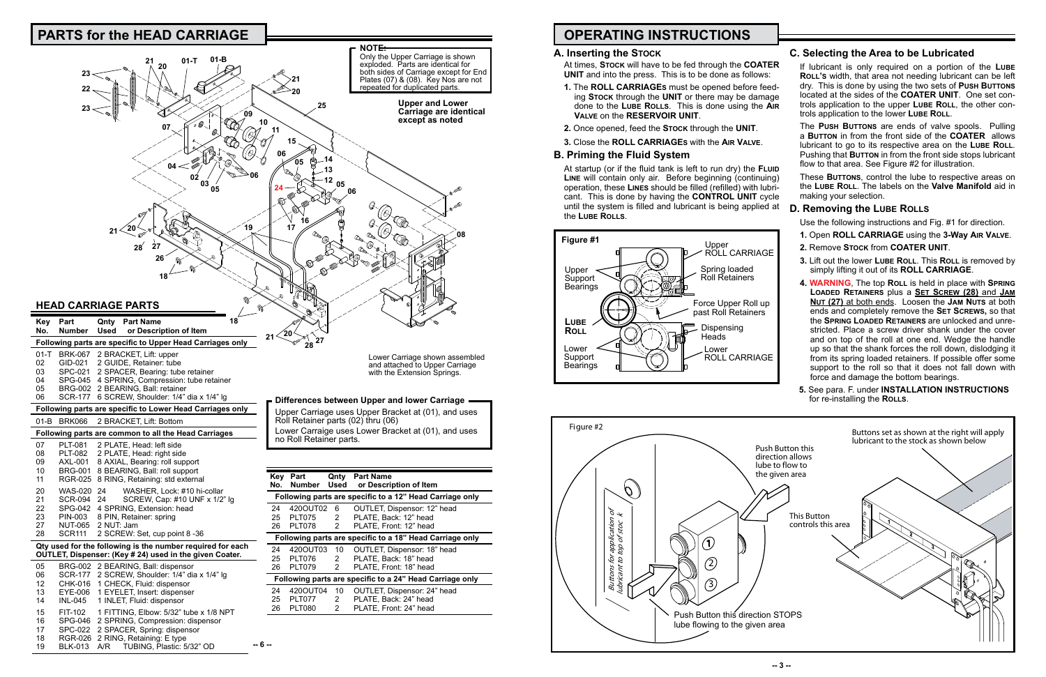# **OPERATING INSTRUCTIONS**

### **A. Inserting the Stock**

At times, **Stock** will have to be fed through the **COATER** 

- **UNIT** and into the press. This is to be done as follows: **1.** The **ROLL CARRIAGEs** must be opened before feeding **Stock** through the **UNIT** or there may be damage done to the **Lube Rolls**. This is done using the **Air Valve** on the **RESERVOIR UNIT**. If lubricant is only required on a portion of the **Lube ROLL's** width, that area not needing lubricant can be left dry. This is done by using the two sets of **Push Buttons** located at the sides of the **COATER UNIT**. One set controls application to the upper **Lube Roll**, the other controls application to the lower **Lube Roll**.
- **2.** Once opened, feed the **Stock** through the **UNIT**.
- **3.** Close the **ROLL CARRIAGEs** with the **Air Valve**.

### **B. Priming the Fluid System**

At startup (or if the fluid tank is left to run dry) the **Fluid Line** will contain only air. Before beginning (continuing) operation, these **Lines** should be filled (refilled) with lubricant. This is done by having the **CONTROL UNIT** cycle until the system is filled and lubricant is being applied at the **Lube Rolls**.

These **Buttons**, control the lube to respective areas on the **Lube Roll**. The labels on the **Valve Manifold** aid in making your selection.

- Use the following instructions and Fig. #1 for direction.
- **1.** Open **ROLL CARRIAGE** using the **3-Way Air Valve**.
- **2.** Remove **Stock** from **COATER UNIT**.
- **3.** Lift out the lower **Lube Roll**. This **Roll** is removed by simply lifting it out of its **ROLL CARRIAGE**.
- **4. WARNING**, The top **Roll** is held in place with **Spring Loaded Retainers** plus a **Set Screw (28)** and **Jam Nut (27)** at both ends. Loosen the **Jam Nuts** at both ends and completely remove the **Set Screws,** so that the **Spring Loaded Retainers** are unlocked and unrestricted. Place a screw driver shank under the cover and on top of the roll at one end. Wedge the handle up so that the shank forces the roll down, dislodging it from its spring loaded retainers. If possible offer some support to the roll so that it does not fall down with force and damage the bottom bearings.
- **5.** See para. F. under **INSTALLATION INSTRUCTIONS** for re-installing the **ROLLS**.

# **C. Selecting the Area to be Lubricated**

The **Push Buttons** are ends of valve spools. Pulling a **Button** in from the front side of the **COATER** allows lubricant to go to its respective area on the **Lube Roll**. Pushing that **BUTTON** in from the front side stops lubricant flow to that area. See Figure #2 for illustration.

### **D. Removing the Lube Rolls**



#### **OUTLET, Dispenser: (Key # 24) used in the given Coater.** 05 BRG-002 2 BEARING, Ball: dispensor

| U5 | BRG-002 2 BEARING, Ball: dispensor             |
|----|------------------------------------------------|
| 06 | SCR-177 2 SCREW, Shoulder: 1/4" dia x 1/4" lg  |
| 12 | CHK-016 1 CHECK, Fluid: dispensor              |
| 13 | EYE-006 1 EYELET, Insert: dispenser            |
| 14 | INL-045 1 INLET, Fluid: dispensor              |
| 15 | FIT-102 1 FITTING, Elbow: 5/32" tube x 1/8 NPT |
| 16 | SPG-046 2 SPRING, Compression: dispensor       |
| 17 | SPC-022 2 SPACER, Spring: dispensor            |
| 18 | RGR-026 2 RING, Retaining: E type              |
| 19 | BLK-013 A/R TUBING, Plastic: 5/32" OD          |





| Kev                                                      | Part          | Used | <b>Qnty</b> Part Name                                    |  |
|----------------------------------------------------------|---------------|------|----------------------------------------------------------|--|
| No.                                                      | <b>Number</b> |      | or Description of Item                                   |  |
|                                                          |               |      | Following parts are specific to a 12" Head Carriage only |  |
| 24                                                       | 420OUT02      | 6    | OUTLET, Dispensor: 12" head                              |  |
| 25                                                       | <b>PLT075</b> | 2    | PLATE, Back: 12" head                                    |  |
| 26                                                       | PLT078        | 2    | PLATE, Front: 12" head                                   |  |
| Following parts are specific to a 18" Head Carriage only |               |      |                                                          |  |
| 24                                                       | 420OUT03      | 10   | OUTLET, Dispensor: 18" head                              |  |
| 25                                                       | PLT076        | 2    | PLATE, Back: 18" head                                    |  |
| 26                                                       | <b>PLT079</b> | 2    | PLATE. Front: 18" head                                   |  |
| Following parts are specific to a 24" Head Carriage only |               |      |                                                          |  |
| 24                                                       | 420OUT04      | 10   | OUTLET, Dispensor: 24" head                              |  |
| 25                                                       | PLT077        | 2    | PLATE, Back: 24" head                                    |  |
| 26                                                       | <b>PLT080</b> | 2    | PLATE, Front: 24" head                                   |  |

**-- 6 --**